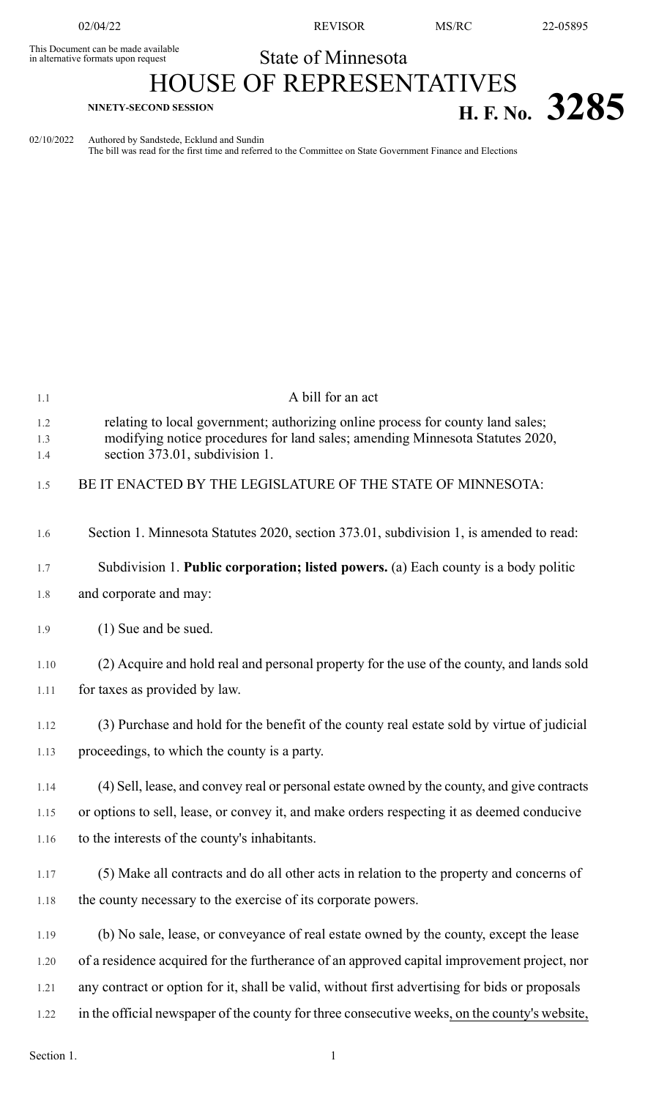This Document can be made available<br>in alternative formats upon request

02/04/22 REVISOR MS/RC 22-05895

## State of Minnesota

## HOUSE OF REPRESENTATIVES **H. F. NO.** 3285

02/10/2022 Authored by Sandstede, Ecklund and Sundin

The bill was read for the first time and referred to the Committee on State Government Finance and Elections

| 1.1        | A bill for an act                                                                                                                                                |
|------------|------------------------------------------------------------------------------------------------------------------------------------------------------------------|
| 1.2<br>1.3 | relating to local government; authorizing online process for county land sales;<br>modifying notice procedures for land sales; amending Minnesota Statutes 2020, |
| 1.4        | section 373.01, subdivision 1.                                                                                                                                   |
| 1.5        | BE IT ENACTED BY THE LEGISLATURE OF THE STATE OF MINNESOTA:                                                                                                      |
| 1.6        | Section 1. Minnesota Statutes 2020, section 373.01, subdivision 1, is amended to read:                                                                           |
| 1.7        | Subdivision 1. Public corporation; listed powers. (a) Each county is a body politic                                                                              |
| 1.8        | and corporate and may:                                                                                                                                           |
| 1.9        | (1) Sue and be sued.                                                                                                                                             |
| 1.10       | (2) Acquire and hold real and personal property for the use of the county, and lands sold                                                                        |
| 1.11       | for taxes as provided by law.                                                                                                                                    |
| 1.12       | (3) Purchase and hold for the benefit of the county real estate sold by virtue of judicial                                                                       |
| 1.13       | proceedings, to which the county is a party.                                                                                                                     |
| 1.14       | (4) Sell, lease, and convey real or personal estate owned by the county, and give contracts                                                                      |
| 1.15       | or options to sell, lease, or convey it, and make orders respecting it as deemed conducive                                                                       |
| 1.16       | to the interests of the county's inhabitants.                                                                                                                    |
| 1.17       | (5) Make all contracts and do all other acts in relation to the property and concerns of                                                                         |
| 1.18       | the county necessary to the exercise of its corporate powers.                                                                                                    |
| 1.19       | (b) No sale, lease, or conveyance of real estate owned by the county, except the lease                                                                           |
| 1.20       | of a residence acquired for the furtherance of an approved capital improvement project, nor                                                                      |
| 1.21       | any contract or option for it, shall be valid, without first advertising for bids or proposals                                                                   |
| 1.22       | in the official newspaper of the county for three consecutive weeks, on the county's website,                                                                    |
|            |                                                                                                                                                                  |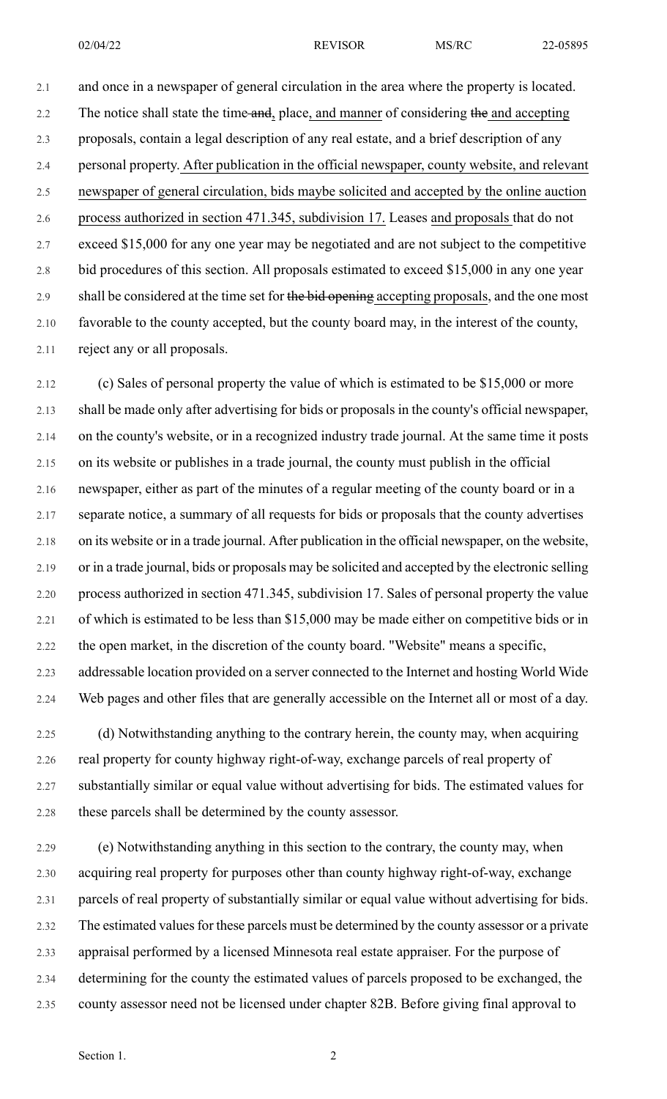02/04/22 REVISOR MS/RC 22-05895

2.1 and once in a newspaper of general circulation in the area where the property is located. 2.2 The notice shall state the time and, place, and manner of considering the and accepting 2.3 proposals, contain a legal description of any real estate, and a brief description of any 2.4 personal property. After publication in the official newspaper, county website, and relevant 2.5 newspaper of general circulation, bids maybe solicited and accepted by the online auction 2.6 process authorized in section 471.345, subdivision 17. Leases and proposals that do not 2.7 exceed \$15,000 for any one year may be negotiated and are not subject to the competitive 2.8 bid procedures of this section. All proposals estimated to exceed \$15,000 in any one year 2.9 shall be considered at the time set for the bid opening accepting proposals, and the one most 2.10 favorable to the county accepted, but the county board may, in the interest of the county, 2.11 reject any or all proposals.

2.12 (c) Sales of personal property the value of which is estimated to be \$15,000 or more 2.13 shall be made only after advertising for bids or proposals in the county's official newspaper, 2.14 on the county's website, or in a recognized industry trade journal. At the same time it posts 2.15 on its website or publishes in a trade journal, the county must publish in the official 2.16 newspaper, either as part of the minutes of a regular meeting of the county board or in a 2.17 separate notice, a summary of all requests for bids or proposals that the county advertises 2.18 on its website or in a trade journal. After publication in the official newspaper, on the website, 2.19 or in a trade journal, bids or proposals may be solicited and accepted by the electronic selling 2.20 process authorized in section 471.345, subdivision 17. Sales of personal property the value 2.21 of which is estimated to be less than \$15,000 may be made either on competitive bids or in 2.22 the open market, in the discretion of the county board. "Website" means a specific, 2.23 addressable location provided on a server connected to the Internet and hosting World Wide 2.24 Web pages and other files that are generally accessible on the Internet all or most of a day.

2.25 (d) Notwithstanding anything to the contrary herein, the county may, when acquiring 2.26 real property for county highway right-of-way, exchange parcels of real property of 2.27 substantially similar or equal value without advertising for bids. The estimated values for 2.28 these parcels shall be determined by the county assessor.

2.29 (e) Notwithstanding anything in this section to the contrary, the county may, when 2.30 acquiring real property for purposes other than county highway right-of-way, exchange 2.31 parcels of real property of substantially similar or equal value without advertising for bids. 2.32 The estimated values for these parcels must be determined by the county assessor or a private 2.33 appraisal performed by a licensed Minnesota real estate appraiser. For the purpose of 2.34 determining for the county the estimated values of parcels proposed to be exchanged, the 2.35 county assessor need not be licensed under chapter 82B. Before giving final approval to